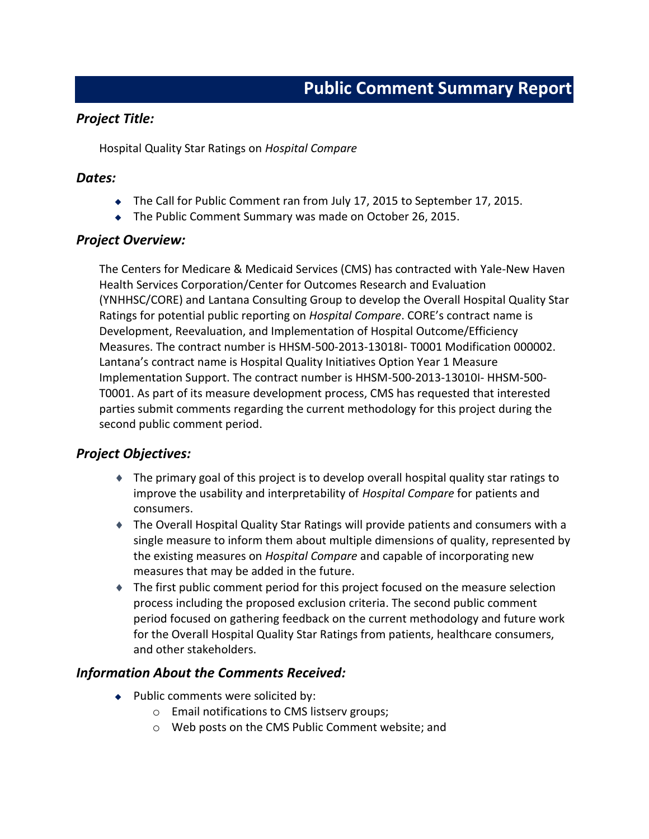### *Project Title:*

Hospital Quality Star Ratings on *Hospital Compare*

#### *Dates:*

- $\bullet$  The Call for Public Comment ran from July 17, 2015 to September 17, 2015.
- $\bullet$  The Public Comment Summary was made on October 26, 2015.

### *Project Overview:*

The Centers for Medicare & Medicaid Services (CMS) has contracted with Yale-New Haven Health Services Corporation/Center for Outcomes Research and Evaluation (YNHHSC/CORE) and Lantana Consulting Group to develop the Overall Hospital Quality Star Ratings for potential public reporting on *Hospital Compare*. CORE's contract name is Development, Reevaluation, and Implementation of Hospital Outcome/Efficiency Measures. The contract number is HHSM-500-2013-13018I- T0001 Modification 000002. Lantana's contract name is Hospital Quality Initiatives Option Year 1 Measure Implementation Support. The contract number is HHSM-500-2013-13010I- HHSM-500- T0001. As part of its measure development process, CMS has requested that interested parties submit comments regarding the current methodology for this project during the second public comment period.

### *Project Objectives:*

- $\bullet$  The primary goal of this project is to develop overall hospital quality star ratings to improve the usability and interpretability of *Hospital Compare* for patients and consumers.
- ◆ The Overall Hospital Quality Star Ratings will provide patients and consumers with a single measure to inform them about multiple dimensions of quality, represented by the existing measures on *Hospital Compare* and capable of incorporating new measures that may be added in the future.
- $\bullet$  The first public comment period for this project focused on the measure selection process including the proposed exclusion criteria. The second public comment period focused on gathering feedback on the current methodology and future work for the Overall Hospital Quality Star Ratings from patients, healthcare consumers, and other stakeholders.

### *Information About the Comments Received:*

- $\bullet$  Public comments were solicited by:
	- o Email notifications to CMS listserv groups;
	- o Web posts on the CMS Public Comment website; and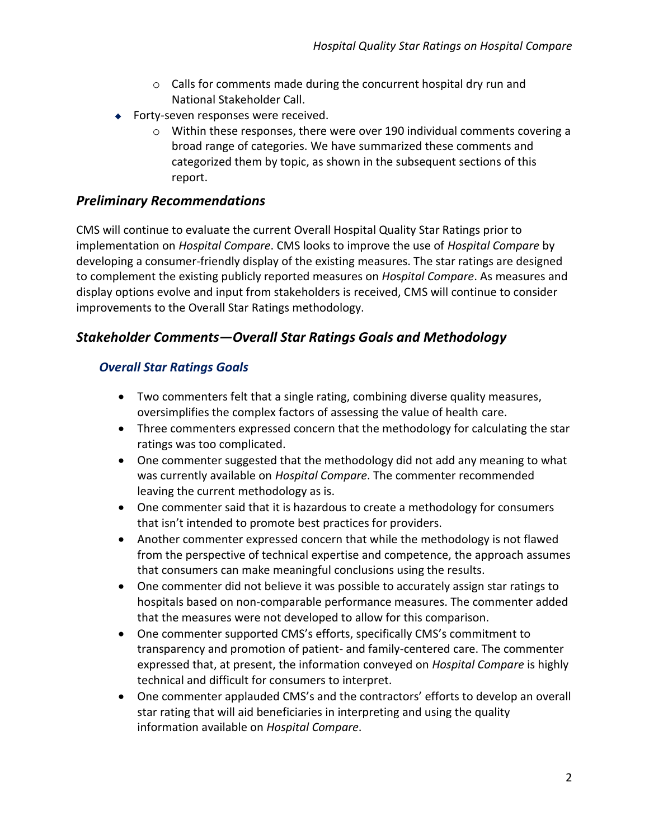- o Calls for comments made during the concurrent hospital dry run and National Stakeholder Call.
- $\bullet$  Forty-seven responses were received.
	- $\circ$  Within these responses, there were over 190 individual comments covering a broad range of categories. We have summarized these comments and categorized them by topic, as shown in the subsequent sections of this report.

# *Preliminary Recommendations*

CMS will continue to evaluate the current Overall Hospital Quality Star Ratings prior to implementation on *Hospital Compare*. CMS looks to improve the use of *Hospital Compare* by developing a consumer-friendly display of the existing measures. The star ratings are designed to complement the existing publicly reported measures on *Ho*s*pital Compare*. As measures and display options evolve and input from stakeholders is received, CMS will continue to consider improvements to the Overall Star Ratings methodology.

# *Stakeholder Comments—Overall Star Ratings Goals and Methodology*

# *Overall Star Ratings Goals*

- · Two commenters felt that a single rating, combining diverse quality measures, oversimplifies the complex factors of assessing the value of health care.
- · Three commenters expressed concern that the methodology for calculating the star ratings was too complicated.
- One commenter suggested that the methodology did not add any meaning to what was currently available on *Hospital Compare*. The commenter recommended leaving the current methodology as is.
- · One commenter said that it is hazardous to create a methodology for consumers that isn't intended to promote best practices for providers.
- · Another commenter expressed concern that while the methodology is not flawed from the perspective of technical expertise and competence, the approach assumes that consumers can make meaningful conclusions using the results.
- · One commenter did not believe it was possible to accurately assign star ratings to hospitals based on non-comparable performance measures. The commenter added that the measures were not developed to allow for this comparison.
- · One commenter supported CMS's efforts, specifically CMS's commitment to transparency and promotion of patient- and family-centered care. The commenter expressed that, at present, the information conveyed on *Hospital Compare* is highly technical and difficult for consumers to interpret.
- · One commenter applauded CMS's and the contractors' efforts to develop an overall star rating that will aid beneficiaries in interpreting and using the quality information available on *Hospital Compare*.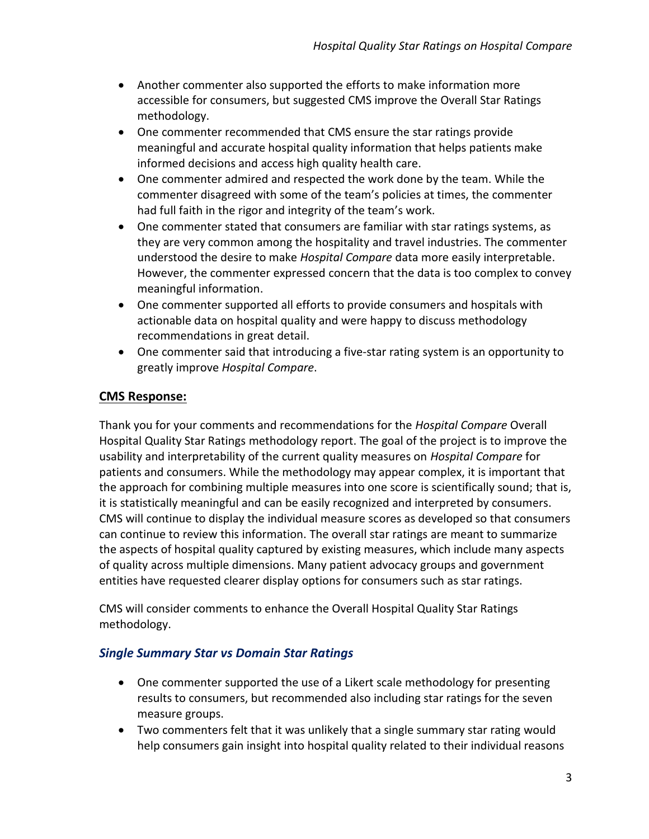- · Another commenter also supported the efforts to make information more accessible for consumers, but suggested CMS improve the Overall Star Ratings methodology.
- · One commenter recommended that CMS ensure the star ratings provide meaningful and accurate hospital quality information that helps patients make informed decisions and access high quality health care.
- · One commenter admired and respected the work done by the team. While the commenter disagreed with some of the team's policies at times, the commenter had full faith in the rigor and integrity of the team's work.
- · One commenter stated that consumers are familiar with star ratings systems, as they are very common among the hospitality and travel industries. The commenter understood the desire to make *Hospital Compare* data more easily interpretable. However, the commenter expressed concern that the data is too complex to convey meaningful information.
- · One commenter supported all efforts to provide consumers and hospitals with actionable data on hospital quality and were happy to discuss methodology recommendations in great detail.
- · One commenter said that introducing a five-star rating system is an opportunity to greatly improve *Hospital Compare*.

Thank you for your comments and recommendations for the *Hospital Compare* Overall Hospital Quality Star Ratings methodology report. The goal of the project is to improve the usability and interpretability of the current quality measures on *Hospital Compare* for patients and consumers. While the methodology may appear complex, it is important that the approach for combining multiple measures into one score is scientifically sound; that is, it is statistically meaningful and can be easily recognized and interpreted by consumers. CMS will continue to display the individual measure scores as developed so that consumers can continue to review this information. The overall star ratings are meant to summarize the aspects of hospital quality captured by existing measures, which include many aspects of quality across multiple dimensions. Many patient advocacy groups and government entities have requested clearer display options for consumers such as star ratings.

CMS will consider comments to enhance the Overall Hospital Quality Star Ratings methodology.

# *Single Summary Star vs Domain Star Ratings*

- · One commenter supported the use of a Likert scale methodology for presenting results to consumers, but recommended also including star ratings for the seven measure groups.
- · Two commenters felt that it was unlikely that a single summary star rating would help consumers gain insight into hospital quality related to their individual reasons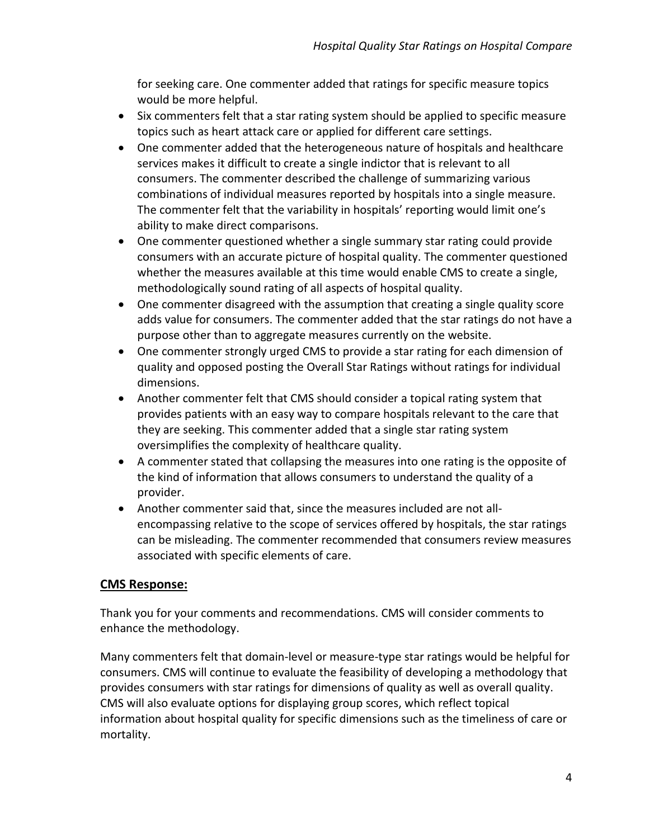for seeking care. One commenter added that ratings for specific measure topics would be more helpful.

- · Six commenters felt that a star rating system should be applied to specific measure topics such as heart attack care or applied for different care settings.
- · One commenter added that the heterogeneous nature of hospitals and healthcare services makes it difficult to create a single indictor that is relevant to all consumers. The commenter described the challenge of summarizing various combinations of individual measures reported by hospitals into a single measure. The commenter felt that the variability in hospitals' reporting would limit one's ability to make direct comparisons.
- · One commenter questioned whether a single summary star rating could provide consumers with an accurate picture of hospital quality. The commenter questioned whether the measures available at this time would enable CMS to create a single, methodologically sound rating of all aspects of hospital quality.
- · One commenter disagreed with the assumption that creating a single quality score adds value for consumers. The commenter added that the star ratings do not have a purpose other than to aggregate measures currently on the website.
- · One commenter strongly urged CMS to provide a star rating for each dimension of quality and opposed posting the Overall Star Ratings without ratings for individual dimensions.
- · Another commenter felt that CMS should consider a topical rating system that provides patients with an easy way to compare hospitals relevant to the care that they are seeking. This commenter added that a single star rating system oversimplifies the complexity of healthcare quality.
- · A commenter stated that collapsing the measures into one rating is the opposite of the kind of information that allows consumers to understand the quality of a provider.
- · Another commenter said that, since the measures included are not allencompassing relative to the scope of services offered by hospitals, the star ratings can be misleading. The commenter recommended that consumers review measures associated with specific elements of care.

# **CMS Response:**

Thank you for your comments and recommendations. CMS will consider comments to enhance the methodology.

Many commenters felt that domain-level or measure-type star ratings would be helpful for consumers. CMS will continue to evaluate the feasibility of developing a methodology that provides consumers with star ratings for dimensions of quality as well as overall quality. CMS will also evaluate options for displaying group scores, which reflect topical information about hospital quality for specific dimensions such as the timeliness of care or mortality.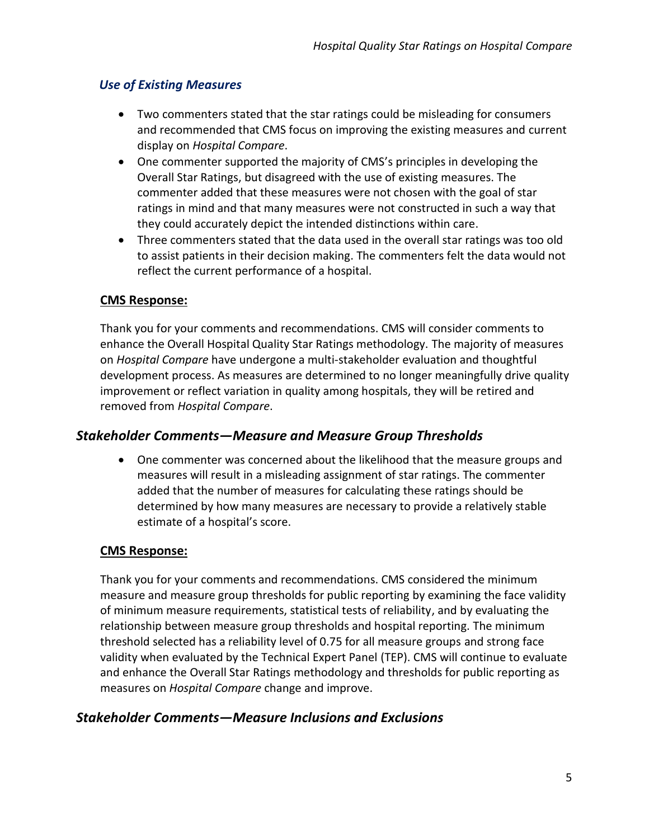# *Use of Existing Measures*

- · Two commenters stated that the star ratings could be misleading for consumers and recommended that CMS focus on improving the existing measures and current display on *Hospital Compare*.
- · One commenter supported the majority of CMS's principles in developing the Overall Star Ratings, but disagreed with the use of existing measures. The commenter added that these measures were not chosen with the goal of star ratings in mind and that many measures were not constructed in such a way that they could accurately depict the intended distinctions within care.
- · Three commenters stated that the data used in the overall star ratings was too old to assist patients in their decision making. The commenters felt the data would not reflect the current performance of a hospital.

### **CMS Response:**

Thank you for your comments and recommendations. CMS will consider comments to enhance the Overall Hospital Quality Star Ratings methodology. The majority of measures on *Hospital Compare* have undergone a multi-stakeholder evaluation and thoughtful development process. As measures are determined to no longer meaningfully drive quality improvement or reflect variation in quality among hospitals, they will be retired and removed from *Hospital Compare*.

# *Stakeholder Comments—Measure and Measure Group Thresholds*

· One commenter was concerned about the likelihood that the measure groups and measures will result in a misleading assignment of star ratings. The commenter added that the number of measures for calculating these ratings should be determined by how many measures are necessary to provide a relatively stable estimate of a hospital's score.

### **CMS Response:**

Thank you for your comments and recommendations. CMS considered the minimum measure and measure group thresholds for public reporting by examining the face validity of minimum measure requirements, statistical tests of reliability, and by evaluating the relationship between measure group thresholds and hospital reporting. The minimum threshold selected has a reliability level of 0.75 for all measure groups and strong face validity when evaluated by the Technical Expert Panel (TEP). CMS will continue to evaluate and enhance the Overall Star Ratings methodology and thresholds for public reporting as measures on *Hospital Compare* change and improve.

# *Stakeholder Comments—Measure Inclusions and Exclusions*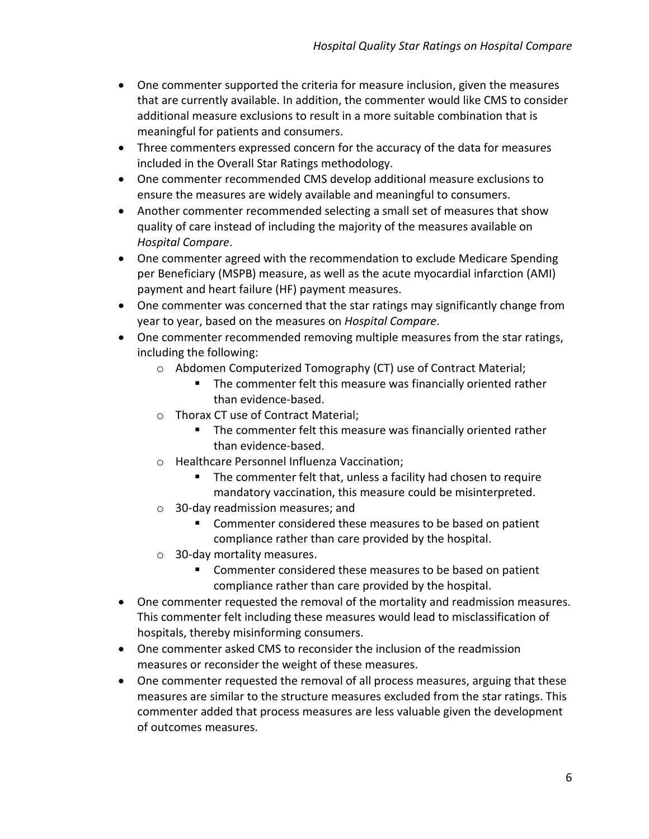- · One commenter supported the criteria for measure inclusion, given the measures that are currently available. In addition, the commenter would like CMS to consider additional measure exclusions to result in a more suitable combination that is meaningful for patients and consumers.
- · Three commenters expressed concern for the accuracy of the data for measures included in the Overall Star Ratings methodology.
- · One commenter recommended CMS develop additional measure exclusions to ensure the measures are widely available and meaningful to consumers.
- · Another commenter recommended selecting a small set of measures that show quality of care instead of including the majority of the measures available on *Hospital Compare*.
- · One commenter agreed with the recommendation to exclude Medicare Spending per Beneficiary (MSPB) measure, as well as the acute myocardial infarction (AMI) payment and heart failure (HF) payment measures.
- · One commenter was concerned that the star ratings may significantly change from year to year, based on the measures on *Hospital Compare*.
- · One commenter recommended removing multiple measures from the star ratings, including the following:
	- o Abdomen Computerized Tomography (CT) use of Contract Material;
		- The commenter felt this measure was financially oriented rather than evidence-based.
	- o Thorax CT use of Contract Material;
		- The commenter felt this measure was financially oriented rather than evidence-based.
	- o Healthcare Personnel Influenza Vaccination;
		- The commenter felt that, unless a facility had chosen to require mandatory vaccination, this measure could be misinterpreted.
	- o 30-day readmission measures; and
		- Commenter considered these measures to be based on patient compliance rather than care provided by the hospital.
	- o 30-day mortality measures.
		- Commenter considered these measures to be based on patient compliance rather than care provided by the hospital.
- · One commenter requested the removal of the mortality and readmission measures. This commenter felt including these measures would lead to misclassification of hospitals, thereby misinforming consumers.
- · One commenter asked CMS to reconsider the inclusion of the readmission measures or reconsider the weight of these measures.
- · One commenter requested the removal of all process measures, arguing that these measures are similar to the structure measures excluded from the star ratings. This commenter added that process measures are less valuable given the development of outcomes measures.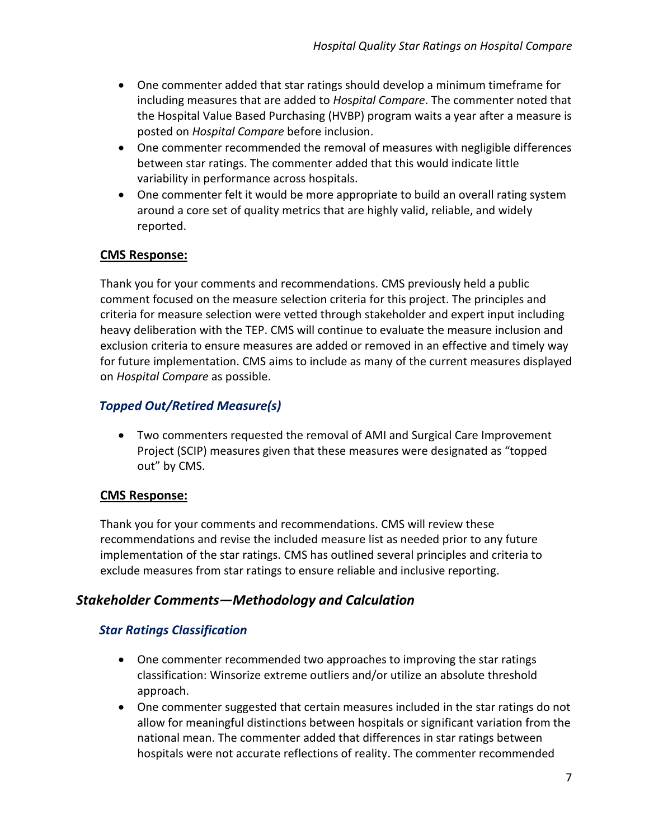- · One commenter added that star ratings should develop a minimum timeframe for including measures that are added to *Ho*s*pital Compare*. The commenter noted that the Hospital Value Based Purchasing (HVBP) program waits a year after a measure is posted on *Hospital Compare* before inclusion.
- · One commenter recommended the removal of measures with negligible differences between star ratings. The commenter added that this would indicate little variability in performance across hospitals.
- · One commenter felt it would be more appropriate to build an overall rating system around a core set of quality metrics that are highly valid, reliable, and widely reported.

Thank you for your comments and recommendations. CMS previously held a public comment focused on the measure selection criteria for this project. The principles and criteria for measure selection were vetted through stakeholder and expert input including heavy deliberation with the TEP. CMS will continue to evaluate the measure inclusion and exclusion criteria to ensure measures are added or removed in an effective and timely way for future implementation. CMS aims to include as many of the current measures displayed on *Hospital Compare* as possible.

# *Topped Out/Retired Measure(s)*

· Two commenters requested the removal of AMI and Surgical Care Improvement Project (SCIP) measures given that these measures were designated as "topped out" by CMS.

# **CMS Response:**

Thank you for your comments and recommendations. CMS will review these recommendations and revise the included measure list as needed prior to any future implementation of the star ratings. CMS has outlined several principles and criteria to exclude measures from star ratings to ensure reliable and inclusive reporting.

# *Stakeholder Comments—Methodology and Calculation*

# *Star Ratings Classification*

- · One commenter recommended two approaches to improving the star ratings classification: Winsorize extreme outliers and/or utilize an absolute threshold approach.
- · One commenter suggested that certain measures included in the star ratings do not allow for meaningful distinctions between hospitals or significant variation from the national mean. The commenter added that differences in star ratings between hospitals were not accurate reflections of reality. The commenter recommended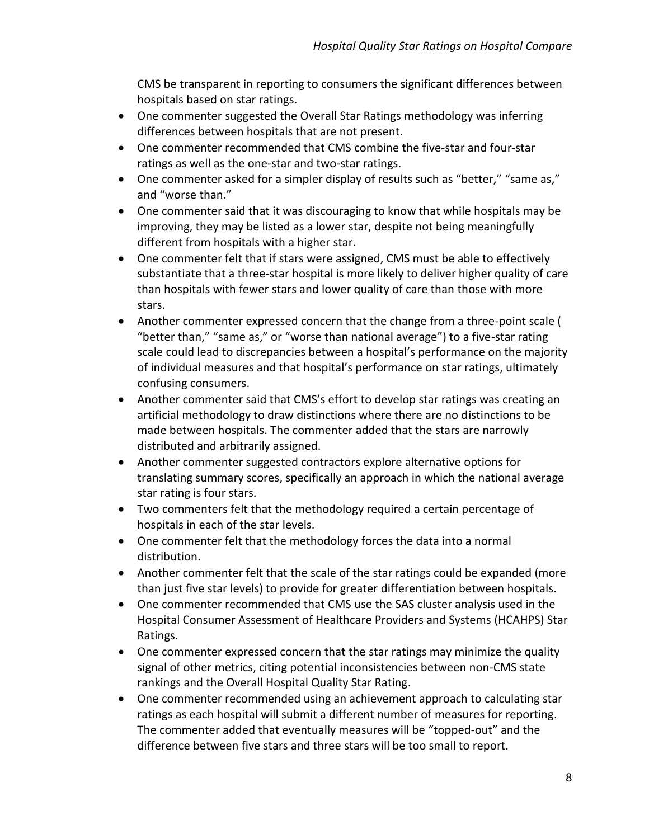CMS be transparent in reporting to consumers the significant differences between hospitals based on star ratings.

- · One commenter suggested the Overall Star Ratings methodology was inferring differences between hospitals that are not present.
- · One commenter recommended that CMS combine the five-star and four-star ratings as well as the one-star and two-star ratings.
- One commenter asked for a simpler display of results such as "better," "same as," and "worse than."
- · One commenter said that it was discouraging to know that while hospitals may be improving, they may be listed as a lower star, despite not being meaningfully different from hospitals with a higher star.
- · One commenter felt that if stars were assigned, CMS must be able to effectively substantiate that a three-star hospital is more likely to deliver higher quality of care than hospitals with fewer stars and lower quality of care than those with more stars.
- · Another commenter expressed concern that the change from a three-point scale ( "better than," "same as," or "worse than national average") to a five-star rating scale could lead to discrepancies between a hospital's performance on the majority of individual measures and that hospital's performance on star ratings, ultimately confusing consumers.
- · Another commenter said that CMS's effort to develop star ratings was creating an artificial methodology to draw distinctions where there are no distinctions to be made between hospitals. The commenter added that the stars are narrowly distributed and arbitrarily assigned.
- · Another commenter suggested contractors explore alternative options for translating summary scores, specifically an approach in which the national average star rating is four stars.
- · Two commenters felt that the methodology required a certain percentage of hospitals in each of the star levels.
- · One commenter felt that the methodology forces the data into a normal distribution.
- · Another commenter felt that the scale of the star ratings could be expanded (more than just five star levels) to provide for greater differentiation between hospitals.
- · One commenter recommended that CMS use the SAS cluster analysis used in the Hospital Consumer Assessment of Healthcare Providers and Systems (HCAHPS) Star Ratings.
- One commenter expressed concern that the star ratings may minimize the quality signal of other metrics, citing potential inconsistencies between non-CMS state rankings and the Overall Hospital Quality Star Rating.
- · One commenter recommended using an achievement approach to calculating star ratings as each hospital will submit a different number of measures for reporting. The commenter added that eventually measures will be "topped-out" and the difference between five stars and three stars will be too small to report.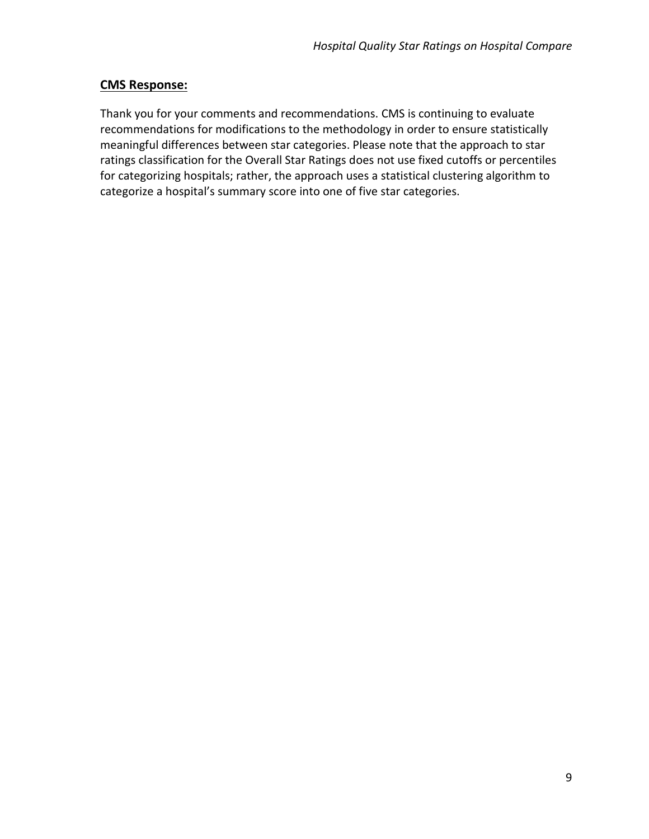Thank you for your comments and recommendations. CMS is continuing to evaluate recommendations for modifications to the methodology in order to ensure statistically meaningful differences between star categories. Please note that the approach to star ratings classification for the Overall Star Ratings does not use fixed cutoffs or percentiles for categorizing hospitals; rather, the approach uses a statistical clustering algorithm to categorize a hospital's summary score into one of five star categories.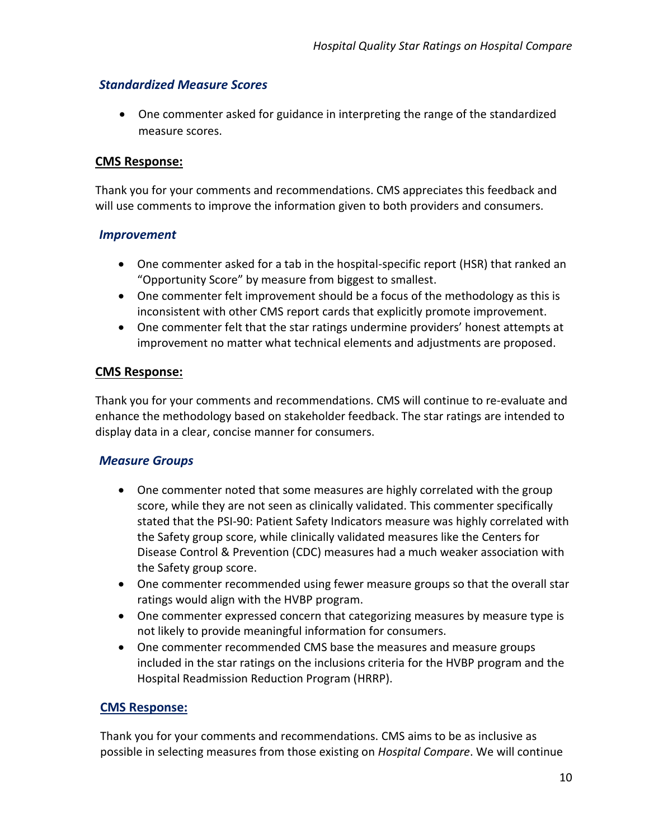### *Standardized Measure Scores*

· One commenter asked for guidance in interpreting the range of the standardized measure scores.

#### **CMS Response:**

Thank you for your comments and recommendations. CMS appreciates this feedback and will use comments to improve the information given to both providers and consumers.

#### *Improvement*

- · One commenter asked for a tab in the hospital-specific report (HSR) that ranked an "Opportunity Score" by measure from biggest to smallest.
- One commenter felt improvement should be a focus of the methodology as this is inconsistent with other CMS report cards that explicitly promote improvement.
- · One commenter felt that the star ratings undermine providers' honest attempts at improvement no matter what technical elements and adjustments are proposed.

#### **CMS Response:**

Thank you for your comments and recommendations. CMS will continue to re-evaluate and enhance the methodology based on stakeholder feedback. The star ratings are intended to display data in a clear, concise manner for consumers.

### *Measure Groups*

- · One commenter noted that some measures are highly correlated with the group score, while they are not seen as clinically validated. This commenter specifically stated that the PSI-90: Patient Safety Indicators measure was highly correlated with the Safety group score, while clinically validated measures like the Centers for Disease Control & Prevention (CDC) measures had a much weaker association with the Safety group score.
- · One commenter recommended using fewer measure groups so that the overall star ratings would align with the HVBP program.
- · One commenter expressed concern that categorizing measures by measure type is not likely to provide meaningful information for consumers.
- · One commenter recommended CMS base the measures and measure groups included in the star ratings on the inclusions criteria for the HVBP program and the Hospital Readmission Reduction Program (HRRP).

#### **CMS Response:**

Thank you for your comments and recommendations. CMS aims to be as inclusive as possible in selecting measures from those existing on *Hospital Compare*. We will continue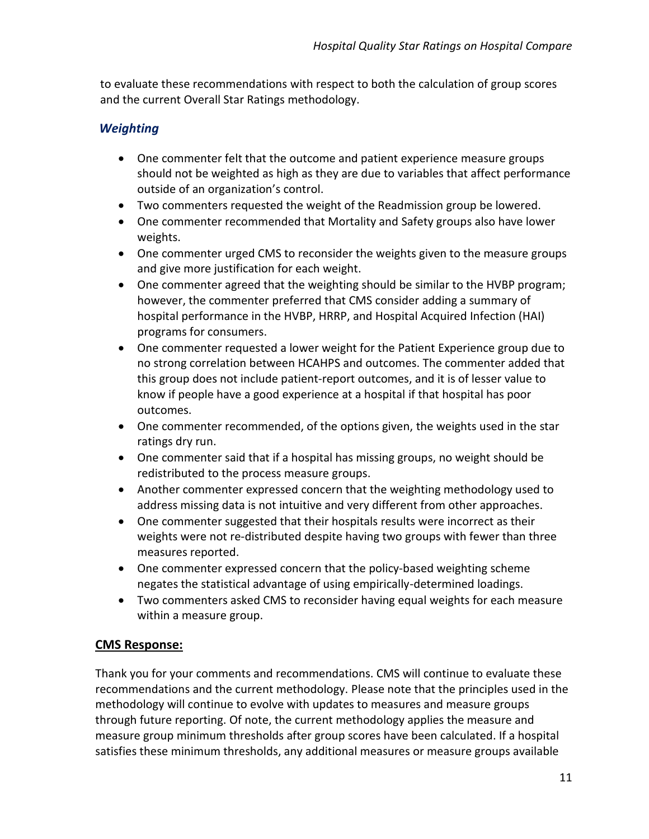to evaluate these recommendations with respect to both the calculation of group scores and the current Overall Star Ratings methodology.

# *Weighting*

- · One commenter felt that the outcome and patient experience measure groups should not be weighted as high as they are due to variables that affect performance outside of an organization's control.
- · Two commenters requested the weight of the Readmission group be lowered.
- · One commenter recommended that Mortality and Safety groups also have lower weights.
- · One commenter urged CMS to reconsider the weights given to the measure groups and give more justification for each weight.
- · One commenter agreed that the weighting should be similar to the HVBP program; however, the commenter preferred that CMS consider adding a summary of hospital performance in the HVBP, HRRP, and Hospital Acquired Infection (HAI) programs for consumers.
- · One commenter requested a lower weight for the Patient Experience group due to no strong correlation between HCAHPS and outcomes. The commenter added that this group does not include patient-report outcomes, and it is of lesser value to know if people have a good experience at a hospital if that hospital has poor outcomes.
- · One commenter recommended, of the options given, the weights used in the star ratings dry run.
- · One commenter said that if a hospital has missing groups, no weight should be redistributed to the process measure groups.
- · Another commenter expressed concern that the weighting methodology used to address missing data is not intuitive and very different from other approaches.
- · One commenter suggested that their hospitals results were incorrect as their weights were not re-distributed despite having two groups with fewer than three measures reported.
- · One commenter expressed concern that the policy-based weighting scheme negates the statistical advantage of using empirically-determined loadings.
- · Two commenters asked CMS to reconsider having equal weights for each measure within a measure group.

# **CMS Response:**

Thank you for your comments and recommendations. CMS will continue to evaluate these recommendations and the current methodology. Please note that the principles used in the methodology will continue to evolve with updates to measures and measure groups through future reporting. Of note, the current methodology applies the measure and measure group minimum thresholds after group scores have been calculated. If a hospital satisfies these minimum thresholds, any additional measures or measure groups available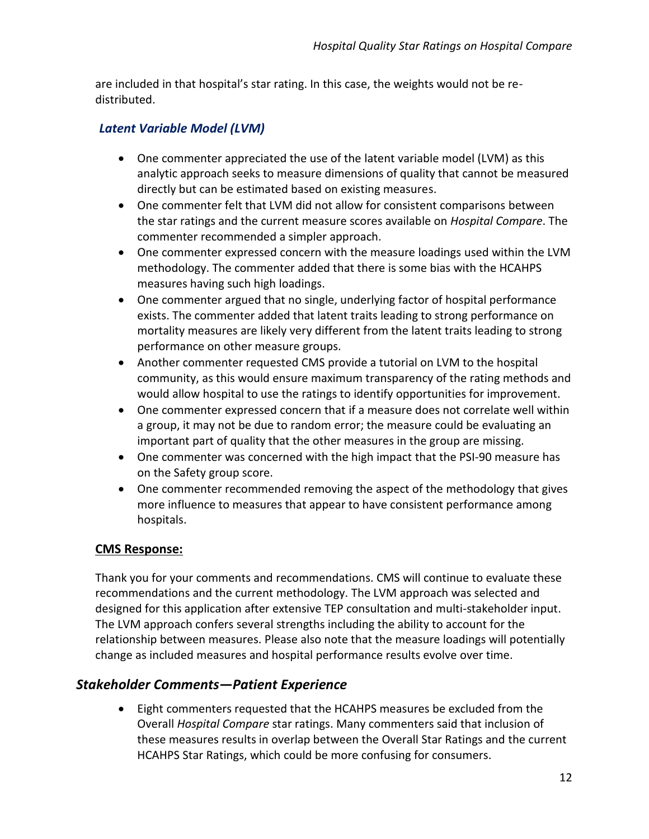are included in that hospital's star rating. In this case, the weights would not be redistributed.

# *Latent Variable Model (LVM)*

- · One commenter appreciated the use of the latent variable model (LVM) as this analytic approach seeks to measure dimensions of quality that cannot be measured directly but can be estimated based on existing measures.
- · One commenter felt that LVM did not allow for consistent comparisons between the star ratings and the current measure scores available on *Hospital Compare*. The commenter recommended a simpler approach.
- · One commenter expressed concern with the measure loadings used within the LVM methodology. The commenter added that there is some bias with the HCAHPS measures having such high loadings.
- · One commenter argued that no single, underlying factor of hospital performance exists. The commenter added that latent traits leading to strong performance on mortality measures are likely very different from the latent traits leading to strong performance on other measure groups.
- · Another commenter requested CMS provide a tutorial on LVM to the hospital community, as this would ensure maximum transparency of the rating methods and would allow hospital to use the ratings to identify opportunities for improvement.
- · One commenter expressed concern that if a measure does not correlate well within a group, it may not be due to random error; the measure could be evaluating an important part of quality that the other measures in the group are missing.
- · One commenter was concerned with the high impact that the PSI-90 measure has on the Safety group score.
- One commenter recommended removing the aspect of the methodology that gives more influence to measures that appear to have consistent performance among hospitals.

# **CMS Response:**

Thank you for your comments and recommendations. CMS will continue to evaluate these recommendations and the current methodology. The LVM approach was selected and designed for this application after extensive TEP consultation and multi-stakeholder input. The LVM approach confers several strengths including the ability to account for the relationship between measures. Please also note that the measure loadings will potentially change as included measures and hospital performance results evolve over time.

# *Stakeholder Comments—Patient Experience*

· Eight commenters requested that the HCAHPS measures be excluded from the Overall *Hospital Compare* star ratings. Many commenters said that inclusion of these measures results in overlap between the Overall Star Ratings and the current HCAHPS Star Ratings, which could be more confusing for consumers.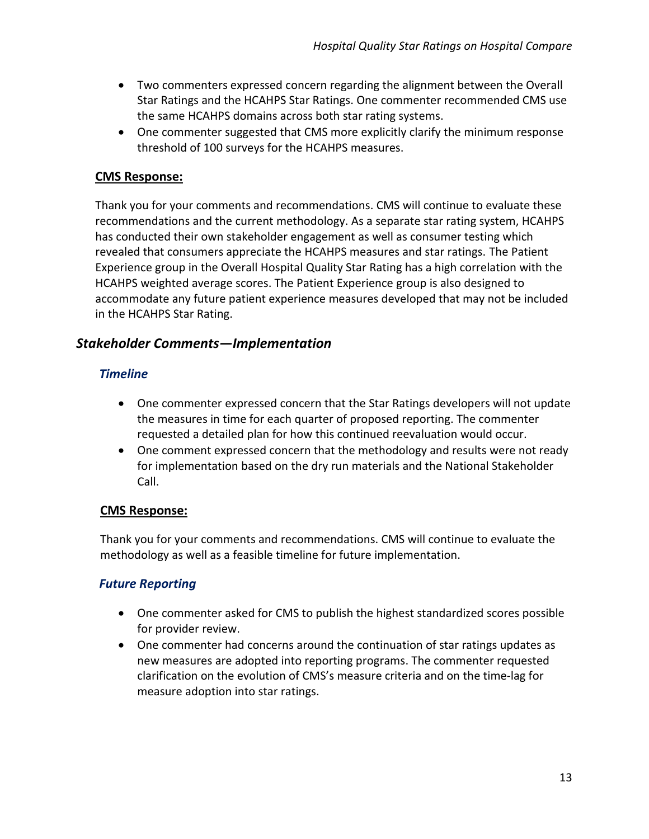- · Two commenters expressed concern regarding the alignment between the Overall Star Ratings and the HCAHPS Star Ratings. One commenter recommended CMS use the same HCAHPS domains across both star rating systems.
- · One commenter suggested that CMS more explicitly clarify the minimum response threshold of 100 surveys for the HCAHPS measures.

Thank you for your comments and recommendations. CMS will continue to evaluate these recommendations and the current methodology. As a separate star rating system, HCAHPS has conducted their own stakeholder engagement as well as consumer testing which revealed that consumers appreciate the HCAHPS measures and star ratings. The Patient Experience group in the Overall Hospital Quality Star Rating has a high correlation with the HCAHPS weighted average scores. The Patient Experience group is also designed to accommodate any future patient experience measures developed that may not be included in the HCAHPS Star Rating.

# *Stakeholder Comments—Implementation*

### *Timeline*

- · One commenter expressed concern that the Star Ratings developers will not update the measures in time for each quarter of proposed reporting. The commenter requested a detailed plan for how this continued reevaluation would occur.
- One comment expressed concern that the methodology and results were not ready for implementation based on the dry run materials and the National Stakeholder Call.

### **CMS Response:**

Thank you for your comments and recommendations. CMS will continue to evaluate the methodology as well as a feasible timeline for future implementation.

# *Future Reporting*

- · One commenter asked for CMS to publish the highest standardized scores possible for provider review.
- · One commenter had concerns around the continuation of star ratings updates as new measures are adopted into reporting programs. The commenter requested clarification on the evolution of CMS's measure criteria and on the time-lag for measure adoption into star ratings.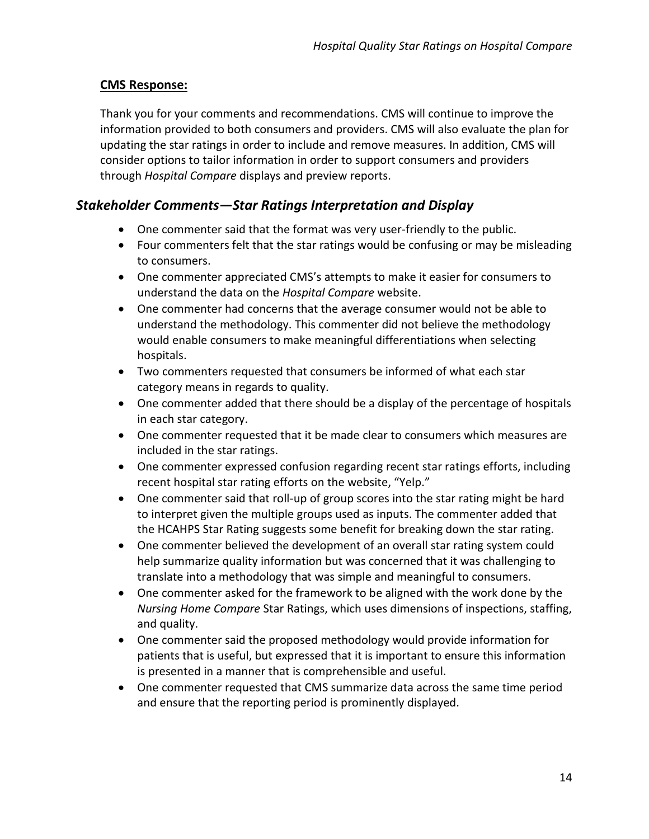Thank you for your comments and recommendations. CMS will continue to improve the information provided to both consumers and providers. CMS will also evaluate the plan for updating the star ratings in order to include and remove measures. In addition, CMS will consider options to tailor information in order to support consumers and providers through *Hospital Compare* displays and preview reports.

# *Stakeholder Comments—Star Ratings Interpretation and Display*

- · One commenter said that the format was very user-friendly to the public.
- · Four commenters felt that the star ratings would be confusing or may be misleading to consumers.
- · One commenter appreciated CMS's attempts to make it easier for consumers to understand the data on the *Hospital Compare* website.
- · One commenter had concerns that the average consumer would not be able to understand the methodology. This commenter did not believe the methodology would enable consumers to make meaningful differentiations when selecting hospitals.
- · Two commenters requested that consumers be informed of what each star category means in regards to quality.
- · One commenter added that there should be a display of the percentage of hospitals in each star category.
- · One commenter requested that it be made clear to consumers which measures are included in the star ratings.
- · One commenter expressed confusion regarding recent star ratings efforts, including recent hospital star rating efforts on the website, "Yelp."
- · One commenter said that roll-up of group scores into the star rating might be hard to interpret given the multiple groups used as inputs. The commenter added that the HCAHPS Star Rating suggests some benefit for breaking down the star rating.
- · One commenter believed the development of an overall star rating system could help summarize quality information but was concerned that it was challenging to translate into a methodology that was simple and meaningful to consumers.
- · One commenter asked for the framework to be aligned with the work done by the *Nursing Home Compare* Star Ratings, which uses dimensions of inspections, staffing, and quality.
- · One commenter said the proposed methodology would provide information for patients that is useful, but expressed that it is important to ensure this information is presented in a manner that is comprehensible and useful.
- · One commenter requested that CMS summarize data across the same time period and ensure that the reporting period is prominently displayed.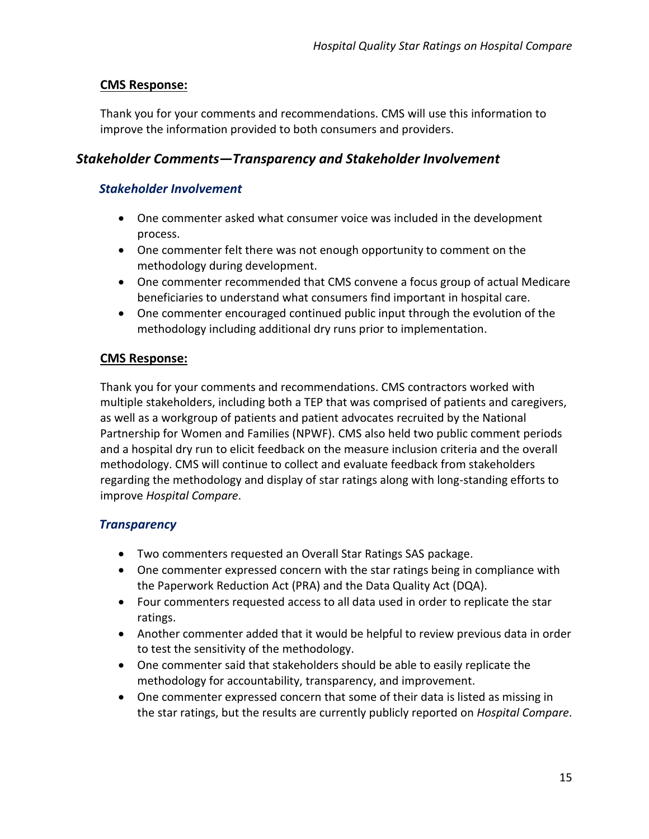Thank you for your comments and recommendations. CMS will use this information to improve the information provided to both consumers and providers.

### *Stakeholder Comments—Transparency and Stakeholder Involvement*

### *Stakeholder Involvement*

- · One commenter asked what consumer voice was included in the development process.
- · One commenter felt there was not enough opportunity to comment on the methodology during development.
- · One commenter recommended that CMS convene a focus group of actual Medicare beneficiaries to understand what consumers find important in hospital care.
- · One commenter encouraged continued public input through the evolution of the methodology including additional dry runs prior to implementation.

### **CMS Response:**

Thank you for your comments and recommendations. CMS contractors worked with multiple stakeholders, including both a TEP that was comprised of patients and caregivers, as well as a workgroup of patients and patient advocates recruited by the National Partnership for Women and Families (NPWF). CMS also held two public comment periods and a hospital dry run to elicit feedback on the measure inclusion criteria and the overall methodology. CMS will continue to collect and evaluate feedback from stakeholders regarding the methodology and display of star ratings along with long-standing efforts to improve *Hospital Compare*.

# *Transparency*

- · Two commenters requested an Overall Star Ratings SAS package.
- · One commenter expressed concern with the star ratings being in compliance with the Paperwork Reduction Act (PRA) and the Data Quality Act (DQA).
- · Four commenters requested access to all data used in order to replicate the star ratings.
- · Another commenter added that it would be helpful to review previous data in order to test the sensitivity of the methodology.
- · One commenter said that stakeholders should be able to easily replicate the methodology for accountability, transparency, and improvement.
- · One commenter expressed concern that some of their data is listed as missing in the star ratings, but the results are currently publicly reported on *Hospital Compare*.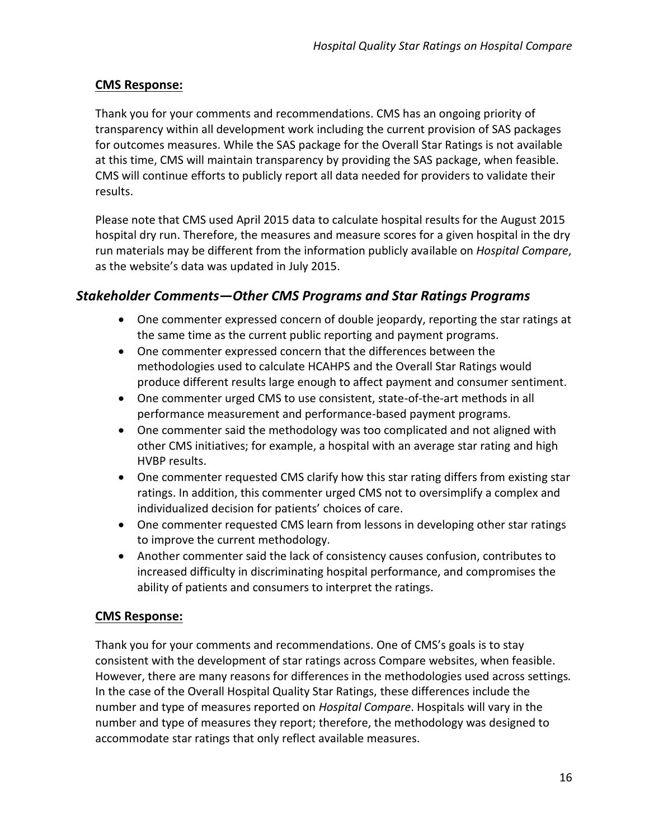Thank you for your comments and recommendations. CMS has an ongoing priority of transparency within all development work including the current provision of SAS packages for outcomes measures. While the SAS package for the Overall Star Ratings is not available at this time, CMS will maintain transparency by providing the SAS package, when feasible. CMS will continue efforts to publicly report all data needed for providers to validate their results.

Please note that CMS used April 2015 data to calculate hospital results for the August 2015 hospital dry run. Therefore, the measures and measure scores for a given hospital in the dry run materials may be different from the information publicly available on *Hospital Compare*, as the website's data was updated in July 2015.

# *Stakeholder Comments—Other CMS Programs and Star Ratings Programs*

- · One commenter expressed concern of double jeopardy, reporting the star ratings at the same time as the current public reporting and payment programs.
- · One commenter expressed concern that the differences between the methodologies used to calculate HCAHPS and the Overall Star Ratings would produce different results large enough to affect payment and consumer sentiment.
- · One commenter urged CMS to use consistent, state-of-the-art methods in all performance measurement and performance-based payment programs.
- · One commenter said the methodology was too complicated and not aligned with other CMS initiatives; for example, a hospital with an average star rating and high HVBP results.
- · One commenter requested CMS clarify how this star rating differs from existing star ratings. In addition, this commenter urged CMS not to oversimplify a complex and individualized decision for patients' choices of care.
- · One commenter requested CMS learn from lessons in developing other star ratings to improve the current methodology.
- · Another commenter said the lack of consistency causes confusion, contributes to increased difficulty in discriminating hospital performance, and compromises the ability of patients and consumers to interpret the ratings.

### **CMS Response:**

Thank you for your comments and recommendations. One of CMS's goals is to stay consistent with the development of star ratings across Compare websites, when feasible. However, there are many reasons for differences in the methodologies used across settings*.* In the case of the Overall Hospital Quality Star Ratings, these differences include the number and type of measures reported on *Hospital Compare*. Hospitals will vary in the number and type of measures they report; therefore, the methodology was designed to accommodate star ratings that only reflect available measures.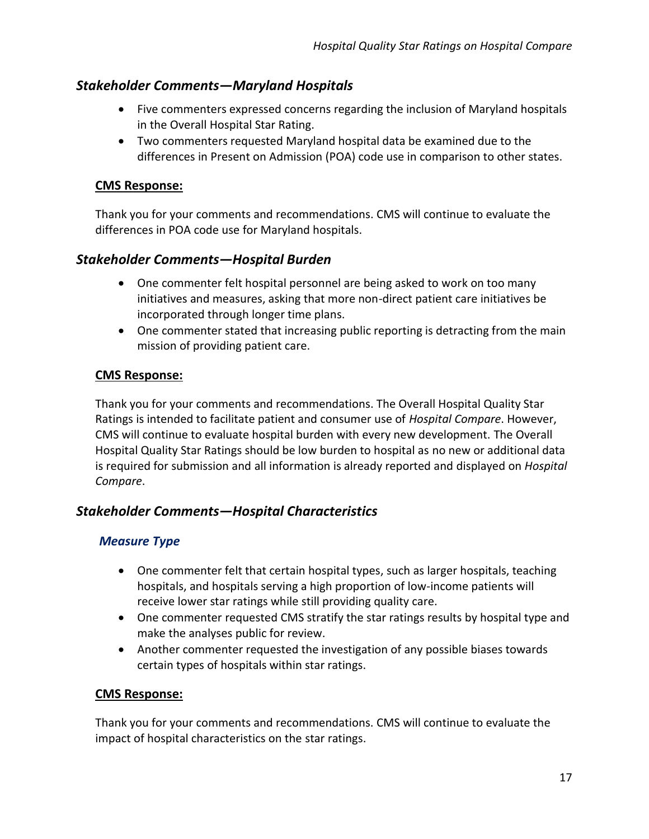# *Stakeholder Comments—Maryland Hospitals*

- · Five commenters expressed concerns regarding the inclusion of Maryland hospitals in the Overall Hospital Star Rating.
- · Two commenters requested Maryland hospital data be examined due to the differences in Present on Admission (POA) code use in comparison to other states.

### **CMS Response:**

Thank you for your comments and recommendations. CMS will continue to evaluate the differences in POA code use for Maryland hospitals.

# *Stakeholder Comments—Hospital Burden*

- · One commenter felt hospital personnel are being asked to work on too many initiatives and measures, asking that more non-direct patient care initiatives be incorporated through longer time plans.
- One commenter stated that increasing public reporting is detracting from the main mission of providing patient care.

### **CMS Response:**

Thank you for your comments and recommendations. The Overall Hospital Quality Star Ratings is intended to facilitate patient and consumer use of *Hospital Compare*. However, CMS will continue to evaluate hospital burden with every new development. The Overall Hospital Quality Star Ratings should be low burden to hospital as no new or additional data is required for submission and all information is already reported and displayed on *Hospital Compare*.

# *Stakeholder Comments—Hospital Characteristics*

# *Measure Type*

- · One commenter felt that certain hospital types, such as larger hospitals, teaching hospitals, and hospitals serving a high proportion of low-income patients will receive lower star ratings while still providing quality care.
- · One commenter requested CMS stratify the star ratings results by hospital type and make the analyses public for review.
- · Another commenter requested the investigation of any possible biases towards certain types of hospitals within star ratings.

### **CMS Response:**

Thank you for your comments and recommendations. CMS will continue to evaluate the impact of hospital characteristics on the star ratings.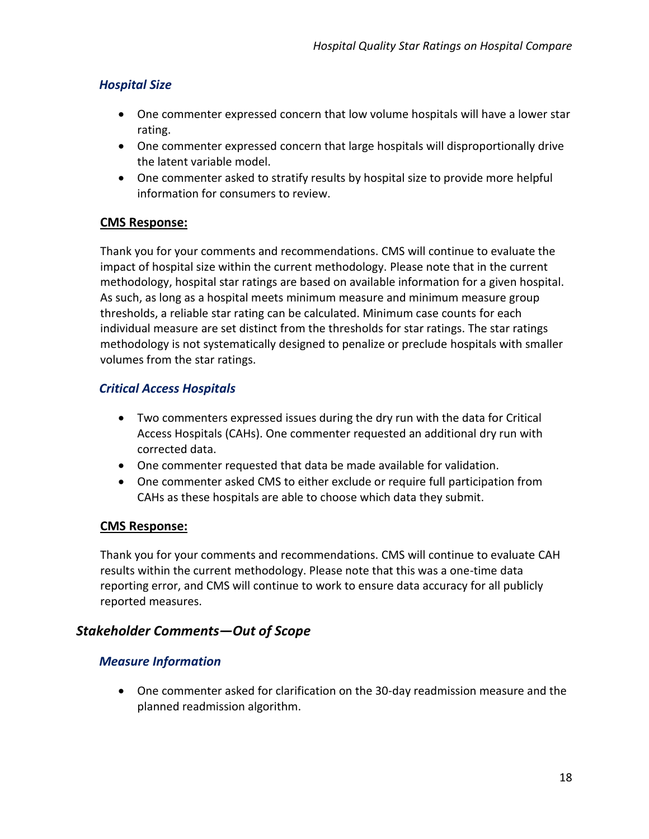# *Hospital Size*

- · One commenter expressed concern that low volume hospitals will have a lower star rating.
- · One commenter expressed concern that large hospitals will disproportionally drive the latent variable model.
- · One commenter asked to stratify results by hospital size to provide more helpful information for consumers to review.

# **CMS Response:**

Thank you for your comments and recommendations. CMS will continue to evaluate the impact of hospital size within the current methodology. Please note that in the current methodology, hospital star ratings are based on available information for a given hospital. As such, as long as a hospital meets minimum measure and minimum measure group thresholds, a reliable star rating can be calculated. Minimum case counts for each individual measure are set distinct from the thresholds for star ratings. The star ratings methodology is not systematically designed to penalize or preclude hospitals with smaller volumes from the star ratings.

# *Critical Access Hospitals*

- · Two commenters expressed issues during the dry run with the data for Critical Access Hospitals (CAHs). One commenter requested an additional dry run with corrected data.
- · One commenter requested that data be made available for validation.
- · One commenter asked CMS to either exclude or require full participation from CAHs as these hospitals are able to choose which data they submit.

### **CMS Response:**

Thank you for your comments and recommendations. CMS will continue to evaluate CAH results within the current methodology. Please note that this was a one-time data reporting error, and CMS will continue to work to ensure data accuracy for all publicly reported measures.

# *Stakeholder Comments—Out of Scope*

# *Measure Information*

· One commenter asked for clarification on the 30-day readmission measure and the planned readmission algorithm.